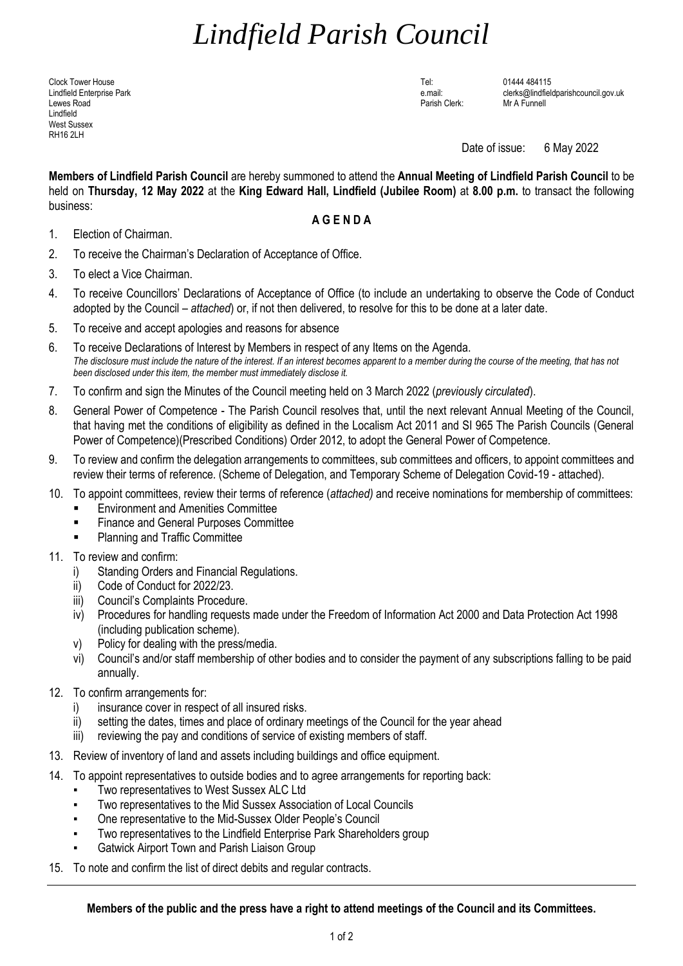## *Lindfield Parish Council*

Clock Tower House Tel: 01444 484115 Lewes Road Parish Clerk: Mr A Funnell Lindfield West Sussex RH16 2LH

Lindfield Enterprise Park e.mail: clerks@lindfieldparishcouncil.gov.uk

Date of issue: 6 May 2022

**Members of Lindfield Parish Council** are hereby summoned to attend the **Annual Meeting of Lindfield Parish Council** to be held on **Thursday, 12 May 2022** at the **King Edward Hall, Lindfield (Jubilee Room)** at **8.00 p.m.** to transact the following business:

## **A G E N D A**

- 1. Election of Chairman.
- 2. To receive the Chairman's Declaration of Acceptance of Office.
- 3. To elect a Vice Chairman.
- 4. To receive Councillors' Declarations of Acceptance of Office (to include an undertaking to observe the Code of Conduct adopted by the Council – *attached*) or, if not then delivered, to resolve for this to be done at a later date.
- 5. To receive and accept apologies and reasons for absence
- 6. To receive Declarations of Interest by Members in respect of any Items on the Agenda. *The disclosure must include the nature of the interest. If an interest becomes apparent to a member during the course of the meeting, that has not been disclosed under this item, the member must immediately disclose it.*
- 7. To confirm and sign the Minutes of the Council meeting held on 3 March 2022 (*previously circulated*).
- 8. General Power of Competence The Parish Council resolves that, until the next relevant Annual Meeting of the Council, that having met the conditions of eligibility as defined in the Localism Act 2011 and SI 965 The Parish Councils (General Power of Competence)(Prescribed Conditions) Order 2012, to adopt the General Power of Competence.
- 9. To review and confirm the delegation arrangements to committees, sub committees and officers, to appoint committees and review their terms of reference. (Scheme of Delegation, and Temporary Scheme of Delegation Covid-19 - attached).
- 10. To appoint committees, review their terms of reference (*attached)* and receive nominations for membership of committees:
	- **Environment and Amenities Committee**
	- **Finance and General Purposes Committee**
	- **Planning and Traffic Committee**
- 11. To review and confirm:
	- i) Standing Orders and Financial Regulations.
	- ii) Code of Conduct for 2022/23.
	- iii) Council's Complaints Procedure.
	- iv) Procedures for handling requests made under the Freedom of Information Act 2000 and Data Protection Act 1998 (including publication scheme).
	- v) Policy for dealing with the press/media.
	- vi) Council's and/or staff membership of other bodies and to consider the payment of any subscriptions falling to be paid annually.
- 12. To confirm arrangements for:
	- i) insurance cover in respect of all insured risks.
	- ii) setting the dates, times and place of ordinary meetings of the Council for the year ahead
	- iii) reviewing the pay and conditions of service of existing members of staff.
- 13. Review of inventory of land and assets including buildings and office equipment.
- 14. To appoint representatives to outside bodies and to agree arrangements for reporting back:
	- Two representatives to West Sussex ALC Ltd
	- Two representatives to the Mid Sussex Association of Local Councils
	- One representative to the Mid-Sussex Older People's Council
	- Two representatives to the Lindfield Enterprise Park Shareholders group
	- **Gatwick Airport Town and Parish Liaison Group**
- 15. To note and confirm the list of direct debits and regular contracts.